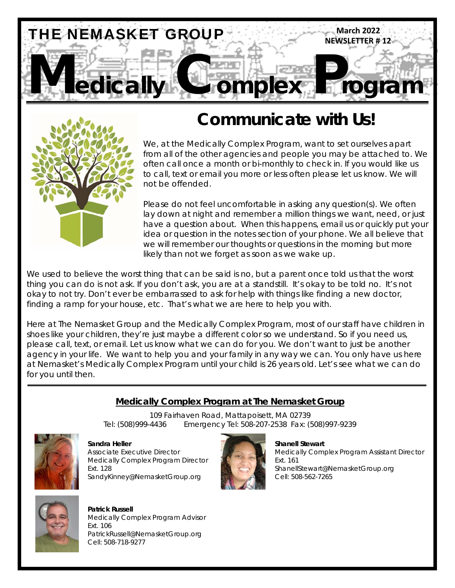



# **Communicate with Us!**

We, at the Medically Complex Program, want to set ourselves apart from all of the other agencies and people you may be attached to. We often call once a month or bi-monthly to check in. If you would like us to call, text or email you more or less often please let us know. We will not be offended.

Please do not feel uncomfortable in asking any question(s). We often lay down at night and remember a million things we want, need, or just have a question about. When this happens, email us or quickly put your idea or question in the notes section of your phone. We all believe that we will remember our thoughts or questions in the morning but more likely than not we forget as soon as we wake up.

We used to believe the worst thing that can be said is no, but a parent once told us that the worst thing you can do is not ask. If you don't ask, you are at a standstill. It's okay to be told no. It's not okay to not try. Don't ever be embarrassed to ask for help with things like finding a new doctor, finding a ramp for your house, etc. That's what we are here to help you with.

Here at The Nemasket Group and the Medically Complex Program, most of our staff have children in shoes like your children, they're just maybe a different color so we understand. So if you need us, please call, text, or email. Let us know what we can do for you. We don't want to just be another agency in your life. We want to help you and your family in any way we can. You only have us here at Nemasket's Medically Complex Program until your child is 26 years old. Let's see what we can do for you until then.

### **Medically Complex Program at The Nemasket Group**

109 Fairhaven Road, Mattapoisett, MA 02739 Tel: (508)999-4436 Emergency Tel: 508-207-2538 Fax: (508)997-9239



**Shandra Heller** Shanell Stewart **Shanell Stewart** Medically Complex Program Director Ext. 161 SandyKinney@NemasketGroup.org Cell: 508-562-7265



Associate Executive Director Medically Complex Program Assistant Director Ext. 128 ShanellStewart@NemasketGroup.org



 **Patrick Russell** Medically Complex Program Advisor Ext. 106 PatrickRussell@NemasketGroup.org Cell: 508-718-9277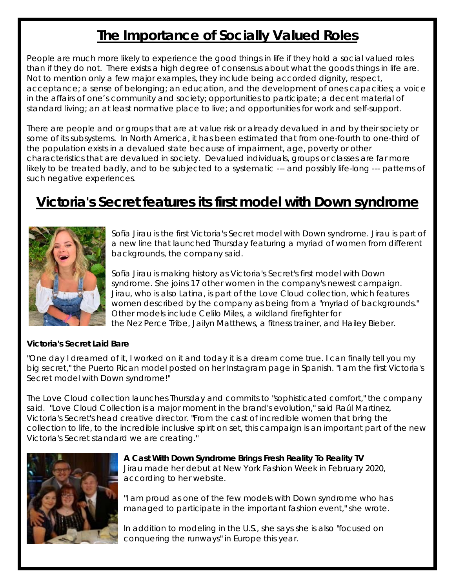# **The Importance of Socially Valued Roles**

People are much more likely to experience the good things in life if they hold a social valued roles than if they do not. There exists a high degree of consensus about what the goods things in life are. Not to mention only a few major examples, they include being accorded dignity, respect, acceptance; a sense of belonging; an education, and the development of ones capacities; a voice in the affairs of one's community and society; opportunities to participate; a decent material of standard living; an at least normative place to live; and opportunities for work and self-support.

There are people and or groups that are at value risk or already devalued in and by their society or some of its subsystems. In North America, it has been estimated that from one-fourth to one-third of the population exists in a devalued state because of impairment, age, poverty or other characteristics that are devalued in society. Devalued individuals, groups or classes are far more likely to be treated badly, and to be subjected to a systematic --- and possibly life-long --- patterns of such negative experiences.

# **Victoria's Secret features its first model with Down syndrome**



Sofía Jirau is the first Victoria's Secret model with Down syndrome. Jirau is part of a new line that launched Thursday featuring a myriad of women from different backgrounds, the company said.

Sofía Jirau is making history as Victoria's Secret's first model with Down syndrome. She joins 17 other women in the company's newest campaign. Jirau, who is also Latina, is part of the Love Cloud collection, which features women described by the company as being from a "myriad of backgrounds." Other models include Celilo Miles, a wildland firefighter for the Nez Perce Tribe, Jailyn Matthews, a fitness trainer, and Hailey Bieber.

#### **Victoria's Secret Laid Bare**

"One day I dreamed of it, I worked on it and today it is a dream come true. I can finally tell you my big secret," the Puerto Rican model posted on her Instagram page in Spanish. "I am the first Victoria's Secret model with Down syndrome!"

The Love Cloud collection launches Thursday and commits to "sophisticated comfort," the company said. "Love Cloud Collection is a major moment in the brand's evolution," said Raúl Martinez, Victoria's Secret's head creative director. "From the cast of incredible women that bring the collection to life, to the incredible inclusive spirit on set, this campaign is an important part of the new Victoria's Secret standard we are creating."



**A Cast With Down Syndrome Brings Fresh Reality To Reality TV**  Jirau made her debut at New York Fashion Week in February 2020, according to her website.

"I am proud as one of the few models with Down syndrome who has managed to participate in the important fashion event," she wrote.

In addition to modeling in the U.S., she says she is also "focused on conquering the runways" in Europe this year.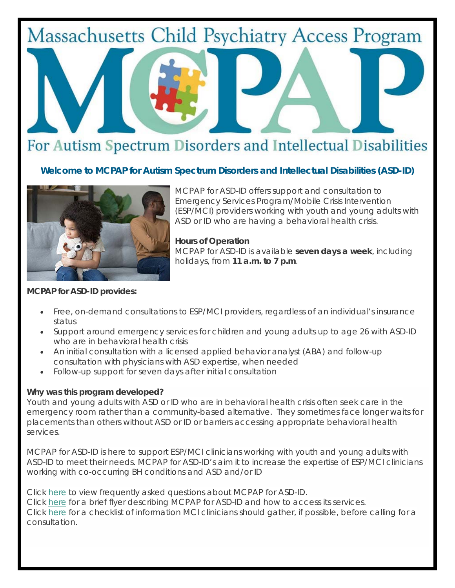# **Massachusetts Child Psychiatry Access Program**

# For Autism Spectrum Disorders and Intellectual Disabilities

## *Welcome to MCPAP for Autism Spectrum Disorders and Intellectual Disabilities (ASD-ID)*



MCPAP for ASD-ID offers support and consultation to Emergency Services Program/Mobile Crisis Intervention (ESP/MCI) providers working with youth and young adults with ASD or ID who are having a behavioral health crisis.

**Hours of Operation** MCPAP for ASD-ID is available **seven days a week**, including holidays, from **11 a.m. to 7 p.m**.

#### **MCPAP for ASD-ID provides:**

- Free, on-demand consultations to ESP/MCI providers, regardless of an individual's insurance status
- Support around emergency services for children and young adults up to age 26 with ASD-ID who are in behavioral health crisis
- An initial consultation with a licensed applied behavior analyst (ABA) and follow-up consultation with physicians with ASD expertise, when needed
- Follow-up support for seven days after initial consultation

#### **Why was this program developed?**

Youth and young adults with ASD or ID who are in behavioral health crisis often seek care in the emergency room rather than a community-based alternative. They sometimes face longer waits for placements than others without ASD or ID or barriers accessing appropriate behavioral health services.

MCPAP for ASD-ID is here to support ESP/MCI clinicians working with youth and young adults with ASD-ID to meet their needs. MCPAP for ASD-ID's aim it to increase the expertise of ESP/MCI clinicians working with co-occurring BH conditions and ASD and/or ID

Click here to view frequently asked questions about MCPAP for ASD-ID. Click here for a brief flyer describing MCPAP for ASD-ID and how to access its services. Click here for a checklist of information MCI clinicians should gather, if possible, before calling for a consultation.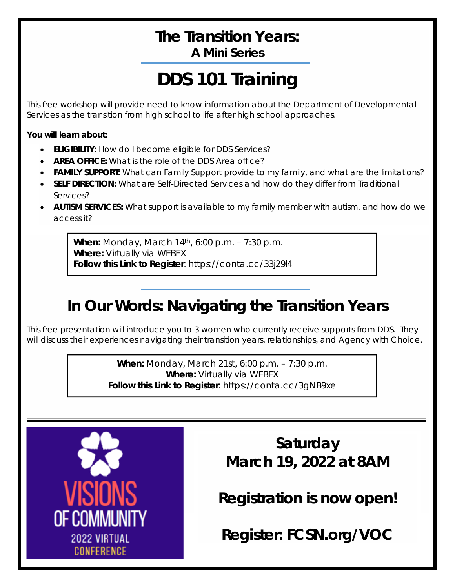# **The Transition Years: A Mini Series**

# **DDS 101 Training**

This free workshop will provide need to know information about the Department of Developmental Services as the transition from high school to life after high school approaches.

**You will learn about:** 

- **ELIGIBILITY:** How do I become eligible for DDS Services?
- **AREA OFFICE:** What is the role of the DDS Area office?
- **FAMILY SUPPORT:** What can Family Support provide to my family, and what are the limitations?
- **SELF DIRECTION:** What are Self-Directed Services and how do they differ from Traditional Services?
- **AUTISM SERVICES:** What support is available to my family member with autism, and how do we access it?

**When:** Monday, March 14th, 6:00 p.m. – 7:30 p.m. **Where:** Virtually via WEBEX **Follow this Link to Register**: https://conta.cc/33j29l4

# **In Our Words: Navigating the Transition Years**

This free presentation will introduce you to 3 women who currently receive supports from DDS. They will discuss their experiences navigating their transition years, relationships, and Agency with Choice.

> **When:** Monday, March 21st, 6:00 p.m. – 7:30 p.m. **Where:** Virtually via WEBEX **Follow this Link to Register**: https://conta.cc/3gNB9xe



**Saturday March 19, 2022 at 8AM** 

**Registration is now open!** 

**Register: FCSN.org/VOC**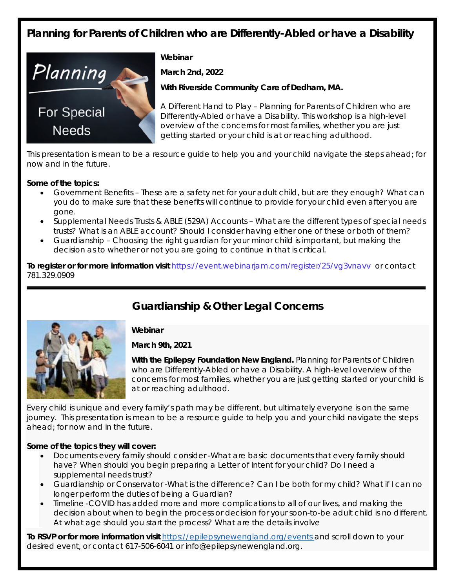# **Planning for Parents of Children who are Differently-Abled or have a Disability**



**Webinar** 

**March 2nd, 2022** 

**With Riverside Community Care of Dedham, MA.** 

A *Different Hand to Play – Planning for Parents of Children who are Differently-Abled or have a Disability*. This workshop is a high-level overview of the concerns for most families, whether you are just getting started or your child is at or reaching adulthood.

This presentation is mean to be a resource guide to help you and your child navigate the steps ahead; for now and in the future.

#### **Some of the topics:**

- Government Benefits These are a safety net for your adult child, but are they enough? What can you do to make sure that these benefits will continue to provide for your child even after you are gone.
- Supplemental Needs Trusts & ABLE (529A) Accounts What are the different types of special needs trusts? What is an ABLE account? Should I consider having either one of these or both of them?
- Guardianship Choosing the right guardian for your minor child is important, but making the decision as to whether or not you are going to continue in that is critical.

**To register or for more information visit** https://event.webinarjam.com/register/25/vg3vnavv or contact 781.329.0909

## **Guardianship & Other Legal Concerns**



#### **Webinar**

**March 9th, 2021** 

**With the Epilepsy Foundation New England.** Planning for Parents of Children who are Differently-Abled or have a Disability. A high-level overview of the concerns for most families, whether you are just getting started or your child is at or reaching adulthood.

Every child is unique and every family's path may be different, but ultimately everyone is on the same journey. This presentation is mean to be a resource guide to help you and your child navigate the steps ahead; for now and in the future.

#### **Some of the topics they will cover:**

- Documents every family should consider -What are basic documents that every family should have? When should you begin preparing a Letter of Intent for your child? Do I need a supplemental needs trust?
- Guardianship or Conservator -What is the difference? Can I be both for my child? What if I can no longer perform the duties of being a Guardian?
- Timeline -COVID has added more and more complications to all of our lives, and making the decision about when to begin the process or decision for your soon-to-be adult child is no different. At what age should you start the process? What are the details involve

**To RSVP or for more information visit** https://epilepsynewengland.org/events and scroll down to your desired event, or contact 617-506-6041 or info@epilepsynewengland.org.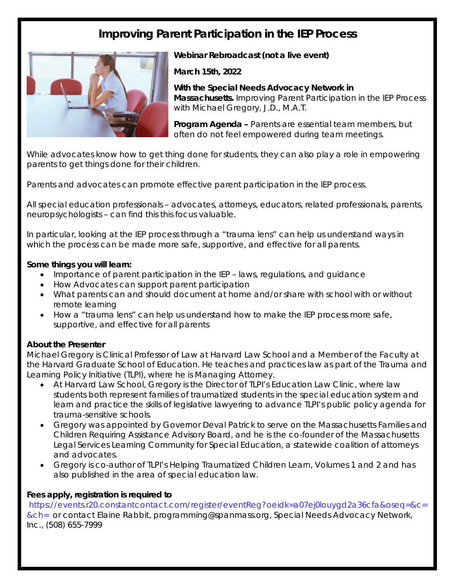# **Improving Parent Participation in the IEP Process**



**Webinar Rebroadcast (not a live event)** 

**March 15th, 2022** 

**With the Special Needs Advocacy Network in Massachusetts.** Improving Parent Participation in the IEP Process with Michael Gregory, J.D., M.A.T.

**Program Agenda –** Parents are essential team members, but often do not feel empowered during team meetings.

While advocates know how to get thing done for students, they can also play a role in empowering parents to get things done for their children.

Parents and advocates can promote effective parent participation in the IEP process.

All special education professionals – advocates, attorneys, educators, related professionals, parents, neuropsychologists – can find this this focus valuable.

In particular, looking at the IEP process through a "trauma lens" can help us understand ways in which the process can be made more safe, supportive, and effective for all parents.

#### **Some things you will learn:**

- Importance of parent participation in the IEP laws, regulations, and guidance
- How Advocates can support parent participation
- What parents can and should document at home and/or share with school with or without remote learning
- How a "trauma lens" can help us understand how to make the IEP process more safe, supportive, and effective for all parents

#### **About the Presenter**

Michael Gregory is Clinical Professor of Law at Harvard Law School and a Member of the Faculty at the Harvard Graduate School of Education. He teaches and practices law as part of the Trauma and Learning Policy Initiative (TLPI), where he is Managing Attorney.

- At Harvard Law School, Gregory is the Director of TLPI's Education Law Clinic, where law students both represent families of traumatized students in the special education system and learn and practice the skills of legislative lawyering to advance TLPI's public policy agenda for trauma-sensitive schools.
- Gregory was appointed by Governor Deval Patrick to serve on the Massachusetts Families and Children Requiring Assistance Advisory Board, and he is the co-founder of the Massachusetts Legal Services Learning Community for Special Education, a statewide coalition of attorneys and advocates.
- Gregory is co-author of TLPI's *Helping Traumatized Children Learn, Volumes 1 and 2* and has also published in the area of special education law.

#### **Fees apply, registration is required to**

 https://events.r20.constantcontact.com/register/eventReg?oeidk=a07ej0louygd2a36cfa&oseq=&c= &ch= or contact Elaine Rabbit, programming@spanmass.org, Special Needs Advocacy Network, Inc., (508) 655-7999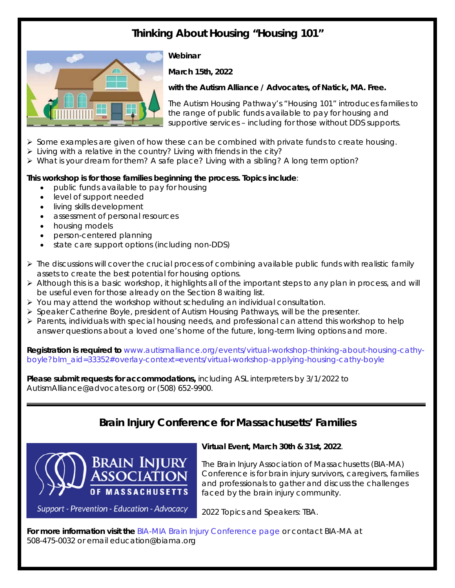# **Thinking About Housing "Housing 101"**



#### **Webinar**

**March 15th, 2022** 

**with the Autism Alliance / Advocates, of Natick, MA. Free.** 

The Autism Housing Pathway's "Housing 101" introduces families to the range of public funds available to pay for housing and supportive services – including for those without DDS supports.

- $\triangleright$  Some examples are given of how these can be combined with private funds to create housing.
- $\triangleright$  Living with a relative in the country? Living with friends in the city?
- $\triangleright$  What is your dream for them? A safe place? Living with a sibling? A long term option?

#### **This workshop is for those families beginning the process. Topics include**:

- public funds available to pay for housing
- level of support needed
- living skills development
- assessment of personal resources
- housing models
- person-centered planning
- state care support options (including non-DDS)
- $\triangleright$  The discussions will cover the crucial process of combining available public funds with realistic family assets to create the best potential for housing options.
- $\triangleright$  Although this is a basic workshop, it highlights all of the important steps to any plan in process, and will be useful even for those already on the Section 8 waiting list.
- $\triangleright$  You may attend the workshop without scheduling an individual consultation.
- $\triangleright$  Speaker Catherine Boyle, president of Autism Housing Pathways, will be the presenter.
- $\triangleright$  Parents, individuals with special housing needs, and professional can attend this workshop to help answer questions about a loved one's home of the future, long-term living options and more.

**Registration is required to** www.autismalliance.org/events/virtual-workshop-thinking-about-housing-cathyboyle?blm\_aid=33352#overlay-context=events/virtual-workshop-applying-housing-cathy-boyle

**Please submit requests for accommodations,** including ASL interpreters by 3/1/2022 to AutismAlliance@advocates.org or (508) 652-9900.

## **Brain Injury Conference for Massachusetts' Families**



Support - Prevention - Education - Advocacy

#### **Virtual Event, March 30th & 31st, 2022**.

The Brain Injury Association of Massachusetts (BIA-MA) Conference is for brain injury survivors, caregivers, families and professionals to gather and discuss the challenges faced by the brain injury community.

2022 Topics and Speakers: TBA.

**For more information visit the** BIA-MIA Brain Injury Conference page or contact BIA-MA at 508-475-0032 or email education@biama.org